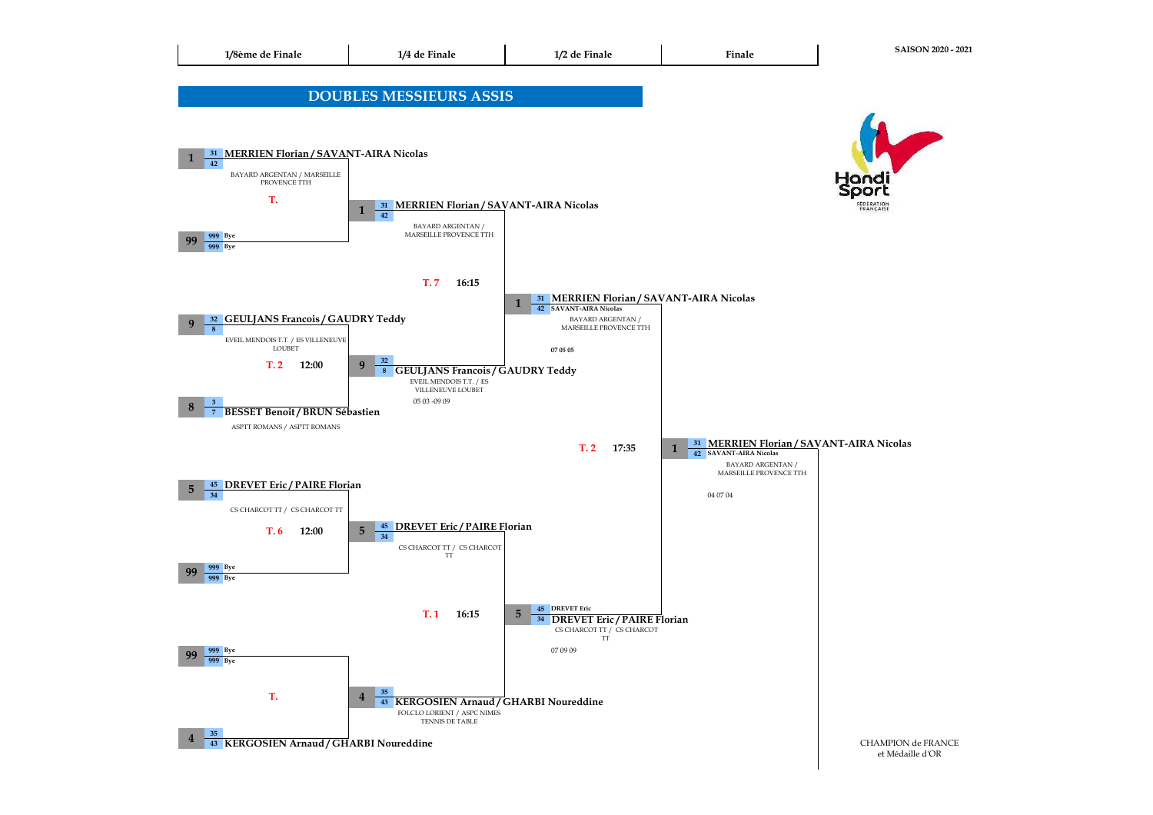